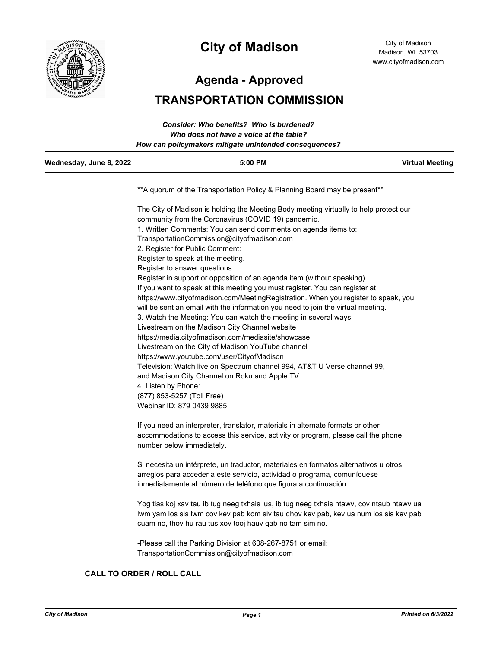

# **City of Madison**

City of Madison Madison, WI 53703 www.cityofmadison.com

**Agenda - Approved**

# **TRANSPORTATION COMMISSION**

| Wednesday, June 8, 2022 | $5:00$ PM                                              | <b>Virtual Meeting</b> |
|-------------------------|--------------------------------------------------------|------------------------|
|                         | How can policymakers mitigate unintended consequences? |                        |
|                         | Who does not have a voice at the table?                |                        |
|                         | Consider: Who benefits? Who is burdened?               |                        |

\*\*A quorum of the Transportation Policy & Planning Board may be present\*\*

The City of Madison is holding the Meeting Body meeting virtually to help protect our community from the Coronavirus (COVID 19) pandemic. 1. Written Comments: You can send comments on agenda items to: TransportationCommission@cityofmadison.com 2. Register for Public Comment: Register to speak at the meeting. Register to answer questions. Register in support or opposition of an agenda item (without speaking). If you want to speak at this meeting you must register. You can register at https://www.cityofmadison.com/MeetingRegistration. When you register to speak, you will be sent an email with the information you need to join the virtual meeting. 3. Watch the Meeting: You can watch the meeting in several ways: Livestream on the Madison City Channel website https://media.cityofmadison.com/mediasite/showcase Livestream on the City of Madison YouTube channel https://www.youtube.com/user/CityofMadison Television: Watch live on Spectrum channel 994, AT&T U Verse channel 99, and Madison City Channel on Roku and Apple TV 4. Listen by Phone: (877) 853-5257 (Toll Free) Webinar ID: 879 0439 9885

If you need an interpreter, translator, materials in alternate formats or other accommodations to access this service, activity or program, please call the phone number below immediately.

Si necesita un intérprete, un traductor, materiales en formatos alternativos u otros arreglos para acceder a este servicio, actividad o programa, comuníquese inmediatamente al número de teléfono que figura a continuación.

Yog tias koj xav tau ib tug neeg txhais lus, ib tug neeg txhais ntawv, cov ntaub ntawv ua lwm yam los sis lwm cov kev pab kom siv tau qhov kev pab, kev ua num los sis kev pab cuam no, thov hu rau tus xov tooj hauv qab no tam sim no.

-Please call the Parking Division at 608-267-8751 or email: TransportationCommission@cityofmadison.com

### **CALL TO ORDER / ROLL CALL**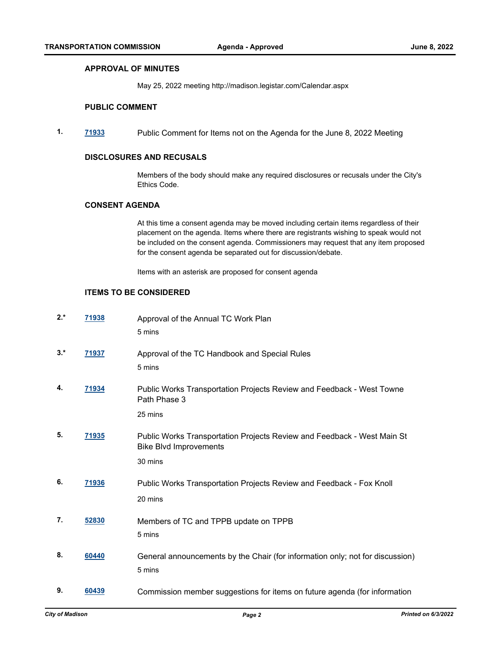#### **APPROVAL OF MINUTES**

May 25, 2022 meeting http://madison.legistar.com/Calendar.aspx

#### **PUBLIC COMMENT**

**1. [71933](http://madison.legistar.com/gateway.aspx?m=l&id=/matter.aspx?key=83721)** Public Comment for Items not on the Agenda for the June 8, 2022 Meeting

#### **DISCLOSURES AND RECUSALS**

Members of the body should make any required disclosures or recusals under the City's Ethics Code.

#### **CONSENT AGENDA**

At this time a consent agenda may be moved including certain items regardless of their placement on the agenda. Items where there are registrants wishing to speak would not be included on the consent agenda. Commissioners may request that any item proposed for the consent agenda be separated out for discussion/debate.

Items with an asterisk are proposed for consent agenda

#### **ITEMS TO BE CONSIDERED**

| $2.*$ | 71938        | Approval of the Annual TC Work Plan<br>5 mins                                                                       |
|-------|--------------|---------------------------------------------------------------------------------------------------------------------|
| $3.*$ | 71937        | Approval of the TC Handbook and Special Rules<br>5 mins                                                             |
| 4.    | 71934        | Public Works Transportation Projects Review and Feedback - West Towne<br>Path Phase 3<br>25 mins                    |
| 5.    | <u>71935</u> | Public Works Transportation Projects Review and Feedback - West Main St<br><b>Bike Blvd Improvements</b><br>30 mins |
| 6.    | 71936        | Public Works Transportation Projects Review and Feedback - Fox Knoll<br>20 mins                                     |
| 7.    | 52830        | Members of TC and TPPB update on TPPB<br>5 mins                                                                     |
| 8.    | 60440        | General announcements by the Chair (for information only; not for discussion)<br>5 mins                             |
| 9.    | 60439        | Commission member suggestions for items on future agenda (for information                                           |